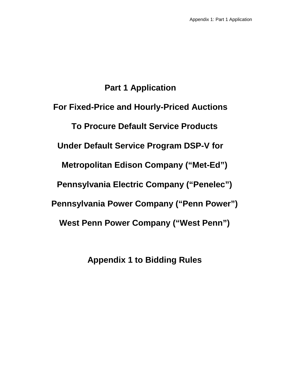# **Part 1 Application**

**For Fixed-Price and Hourly-Priced Auctions To Procure Default Service Products Under Default Service Program DSP-V for Metropolitan Edison Company ("Met-Ed") Pennsylvania Electric Company ("Penelec") Pennsylvania Power Company ("Penn Power") West Penn Power Company ("West Penn")**

**Appendix 1 to Bidding Rules**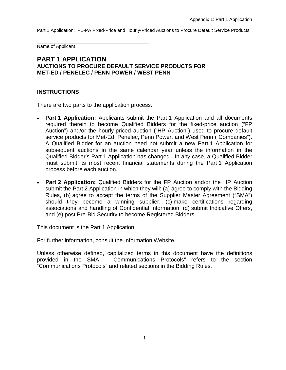Name of Applicant

### **PART 1 APPLICATION AUCTIONS TO PROCURE DEFAULT SERVICE PRODUCTS FOR MET-ED / PENELEC / PENN POWER / WEST PENN**

#### **INSTRUCTIONS**

There are two parts to the application process.

\_\_\_\_\_\_\_\_\_\_\_\_\_\_\_\_\_\_\_\_\_\_\_\_\_\_\_\_\_\_\_\_\_\_\_\_\_\_\_\_\_\_\_

- **Part 1 Application:** Applicants submit the Part 1 Application and all documents required therein to become Qualified Bidders for the fixed-price auction ("FP Auction") and/or the hourly-priced auction ("HP Auction") used to procure default service products for Met-Ed, Penelec, Penn Power, and West Penn ("Companies"). A Qualified Bidder for an auction need not submit a new Part 1 Application for subsequent auctions in the same calendar year unless the information in the Qualified Bidder's Part 1 Application has changed. In any case, a Qualified Bidder must submit its most recent financial statements during the Part 1 Application process before each auction.
- **Part 2 Application:** Qualified Bidders for the FP Auction and/or the HP Auction submit the Part 2 Application in which they will: (a) agree to comply with the Bidding Rules, (b) agree to accept the terms of the Supplier Master Agreement ("SMA") should they become a winning supplier, (c) make certifications regarding associations and handling of Confidential Information, (d) submit Indicative Offers, and (e) post Pre-Bid Security to become Registered Bidders.

This document is the Part 1 Application.

For further information, consult the Information Website.

Unless otherwise defined, capitalized terms in this document have the definitions provided in the SMA. "Communications Protocols" refers to the section "Communications Protocols" and related sections in the Bidding Rules.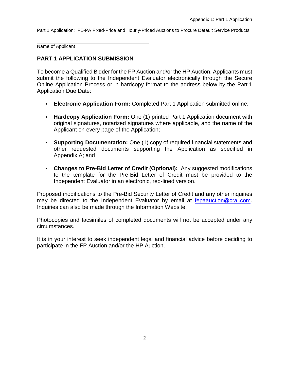\_\_\_\_\_\_\_\_\_\_\_\_\_\_\_\_\_\_\_\_\_\_\_\_\_\_\_\_\_\_\_\_\_\_\_\_\_\_\_\_\_\_\_ Name of Applicant

### **PART 1 APPLICATION SUBMISSION**

To become a Qualified Bidder for the FP Auction and/or the HP Auction, Applicants must submit the following to the Independent Evaluator electronically through the Secure Online Application Process or in hardcopy format to the address below by the Part 1 Application Due Date:

- **Electronic Application Form:** Completed Part 1 Application submitted online;
- **Hardcopy Application Form:** One (1) printed Part 1 Application document with original signatures, notarized signatures where applicable, and the name of the Applicant on every page of the Application;
- **Supporting Documentation:** One (1) copy of required financial statements and other requested documents supporting the Application as specified in Appendix A; and
- **Changes to Pre-Bid Letter of Credit (Optional):** Any suggested modifications to the template for the Pre-Bid Letter of Credit must be provided to the Independent Evaluator in an electronic, red-lined version.

Proposed modifications to the Pre-Bid Security Letter of Credit and any other inquiries may be directed to the Independent Evaluator by email at [fepaauction@crai.com.](mailto:fepaauction@crai.com) Inquiries can also be made through the Information Website.

Photocopies and facsimiles of completed documents will not be accepted under any circumstances.

It is in your interest to seek independent legal and financial advice before deciding to participate in the FP Auction and/or the HP Auction.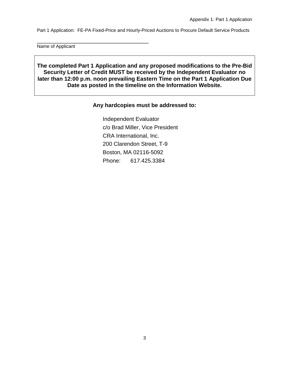Name of Applicant

\_\_\_\_\_\_\_\_\_\_\_\_\_\_\_\_\_\_\_\_\_\_\_\_\_\_\_\_\_\_\_\_\_\_\_\_\_\_\_\_\_\_\_

**The completed Part 1 Application and any proposed modifications to the Pre-Bid Security Letter of Credit MUST be received by the Independent Evaluator no later than 12:00 p.m. noon prevailing Eastern Time on the Part 1 Application Due Date as posted in the timeline on the Information Website.**

#### **Any hardcopies must be addressed to:**

Independent Evaluator c/o Brad Miller, Vice President CRA International, Inc. 200 Clarendon Street, T-9 Boston, MA 02116-5092 Phone: 617.425.3384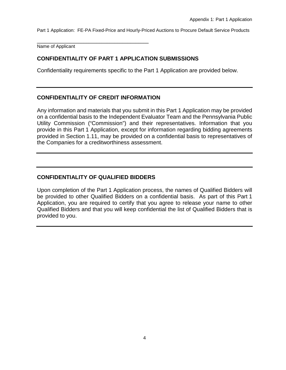\_\_\_\_\_\_\_\_\_\_\_\_\_\_\_\_\_\_\_\_\_\_\_\_\_\_\_\_\_\_\_\_\_\_\_\_\_\_\_\_\_\_\_ Name of Applicant

## **CONFIDENTIALITY OF PART 1 APPLICATION SUBMISSIONS**

Confidentiality requirements specific to the Part 1 Application are provided below.

### **CONFIDENTIALITY OF CREDIT INFORMATION**

Any information and materials that you submit in this Part 1 Application may be provided on a confidential basis to the Independent Evaluator Team and the Pennsylvania Public Utility Commission ("Commission") and their representatives. Information that you provide in this Part 1 Application, except for information regarding bidding agreements provided in Section 1.11, may be provided on a confidential basis to representatives of the Companies for a creditworthiness assessment.

## **CONFIDENTIALITY OF QUALIFIED BIDDERS**

Upon completion of the Part 1 Application process, the names of Qualified Bidders will be provided to other Qualified Bidders on a confidential basis. As part of this Part 1 Application, you are required to certify that you agree to release your name to other Qualified Bidders and that you will keep confidential the list of Qualified Bidders that is provided to you.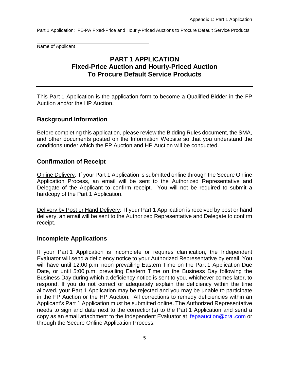\_\_\_\_\_\_\_\_\_\_\_\_\_\_\_\_\_\_\_\_\_\_\_\_\_\_\_\_\_\_\_\_\_\_\_\_\_\_\_\_\_\_\_ Name of Applicant

## **PART 1 APPLICATION Fixed-Price Auction and Hourly-Priced Auction To Procure Default Service Products**

This Part 1 Application is the application form to become a Qualified Bidder in the FP Auction and/or the HP Auction.

## **Background Information**

Before completing this application, please review the Bidding Rules document, the SMA, and other documents posted on the Information Website so that you understand the conditions under which the FP Auction and HP Auction will be conducted.

## **Confirmation of Receipt**

Online Delivery: If your Part 1 Application is submitted online through the Secure Online Application Process, an email will be sent to the Authorized Representative and Delegate of the Applicant to confirm receipt. You will not be required to submit a hardcopy of the Part 1 Application.

Delivery by Post or Hand Delivery:If your Part 1 Application is received by post or hand delivery, an email will be sent to the Authorized Representative and Delegate to confirm receipt.

### **Incomplete Applications**

If your Part 1 Application is incomplete or requires clarification, the Independent Evaluator will send a deficiency notice to your Authorized Representative by email. You will have until 12:00 p.m. noon prevailing Eastern Time on the Part 1 Application Due Date, or until 5:00 p.m. prevailing Eastern Time on the Business Day following the Business Day during which a deficiency notice is sent to you, whichever comes later, to respond. If you do not correct or adequately explain the deficiency within the time allowed, your Part 1 Application may be rejected and you may be unable to participate in the FP Auction or the HP Auction. All corrections to remedy deficiencies within an Applicant's Part 1 Application must be submitted online. The Authorized Representative needs to sign and date next to the correction(s) to the Part 1 Application and send a copy as an email attachment to the Independent Evaluator at [fepaauction@crai.com](mailto:fepaauction@crai.com) or through the Secure Online Application Process.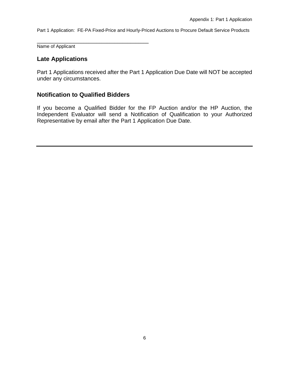\_\_\_\_\_\_\_\_\_\_\_\_\_\_\_\_\_\_\_\_\_\_\_\_\_\_\_\_\_\_\_\_\_\_\_\_\_\_\_\_\_\_\_ Name of Applicant

## **Late Applications**

Part 1 Applications received after the Part 1 Application Due Date will NOT be accepted under any circumstances.

## **Notification to Qualified Bidders**

If you become a Qualified Bidder for the FP Auction and/or the HP Auction, the Independent Evaluator will send a Notification of Qualification to your Authorized Representative by email after the Part 1 Application Due Date.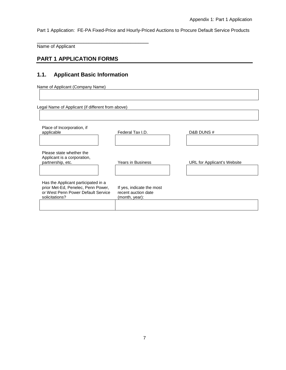Name of Applicant

## **PART 1 APPLICATION FORMS**

#### **1.1. Applicant Basic Information**

\_\_\_\_\_\_\_\_\_\_\_\_\_\_\_\_\_\_\_\_\_\_\_\_\_\_\_\_\_\_\_\_\_\_\_\_\_\_\_\_\_\_\_

Name of Applicant (Company Name)

Legal Name of Applicant (if different from above)

| Place of Incorporation, if<br>applicable                                                                                          | Federal Tax I.D.                                                   | D&B DUNS #                  |
|-----------------------------------------------------------------------------------------------------------------------------------|--------------------------------------------------------------------|-----------------------------|
| Please state whether the<br>Applicant is a corporation,<br>partnership, etc.                                                      | Years in Business                                                  | URL for Applicant's Website |
| Has the Applicant participated in a<br>prior Met-Ed, Penelec, Penn Power,<br>or West Penn Power Default Service<br>solicitations? | If yes, indicate the most<br>recent auction date<br>(month, year): |                             |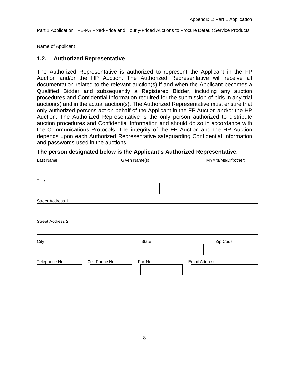\_\_\_\_\_\_\_\_\_\_\_\_\_\_\_\_\_\_\_\_\_\_\_\_\_\_\_\_\_\_\_\_\_\_\_\_\_\_\_\_\_\_\_ Name of Applicant

#### **1.2. Authorized Representative**

The Authorized Representative is authorized to represent the Applicant in the FP Auction and/or the HP Auction. The Authorized Representative will receive all documentation related to the relevant auction(s) if and when the Applicant becomes a Qualified Bidder and subsequently a Registered Bidder, including any auction procedures and Confidential Information required for the submission of bids in any trial auction(s) and in the actual auction(s). The Authorized Representative must ensure that only authorized persons act on behalf of the Applicant in the FP Auction and/or the HP Auction. The Authorized Representative is the only person authorized to distribute auction procedures and Confidential Information and should do so in accordance with the Communications Protocols. The integrity of the FP Auction and the HP Auction depends upon each Authorized Representative safeguarding Confidential Information and passwords used in the auctions.

#### **The person designated below is the Applicant's Authorized Representative.**

| Last Name               |                | Given Name(s) | Mr/Mrs/Ms/Dr/(other) |  |
|-------------------------|----------------|---------------|----------------------|--|
|                         |                |               |                      |  |
| Title                   |                |               |                      |  |
|                         |                |               |                      |  |
| Street Address 1        |                |               |                      |  |
|                         |                |               |                      |  |
| <b>Street Address 2</b> |                |               |                      |  |
|                         |                |               |                      |  |
| City                    |                | State         | Zip Code             |  |
|                         |                |               |                      |  |
| Telephone No.           | Cell Phone No. | Fax No.       | <b>Email Address</b> |  |
|                         |                |               |                      |  |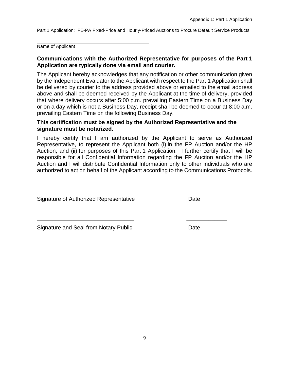\_\_\_\_\_\_\_\_\_\_\_\_\_\_\_\_\_\_\_\_\_\_\_\_\_\_\_\_\_\_\_\_\_\_\_\_\_\_\_\_\_\_\_ Name of Applicant

#### **Communications with the Authorized Representative for purposes of the Part 1 Application are typically done via email and courier.**

The Applicant hereby acknowledges that any notification or other communication given by the Independent Evaluator to the Applicant with respect to the Part 1 Application shall be delivered by courier to the address provided above or emailed to the email address above and shall be deemed received by the Applicant at the time of delivery, provided that where delivery occurs after 5:00 p.m. prevailing Eastern Time on a Business Day or on a day which is not a Business Day, receipt shall be deemed to occur at 8:00 a.m. prevailing Eastern Time on the following Business Day.

#### **This certification must be signed by the Authorized Representative and the signature must be notarized.**

\_\_\_\_\_\_\_\_\_\_\_\_\_\_\_\_\_\_\_\_\_\_\_\_\_\_\_\_\_\_\_ \_\_\_\_\_\_\_\_\_\_\_\_\_

\_\_\_\_\_\_\_\_\_\_\_\_\_\_\_\_\_\_\_\_\_\_\_\_\_\_\_\_\_\_\_ \_\_\_\_\_\_\_\_\_\_\_\_\_

I hereby certify that I am authorized by the Applicant to serve as Authorized Representative, to represent the Applicant both (i) in the FP Auction and/or the HP Auction, and (ii) for purposes of this Part 1 Application. I further certify that I will be responsible for all Confidential Information regarding the FP Auction and/or the HP Auction and I will distribute Confidential Information only to other individuals who are authorized to act on behalf of the Applicant according to the Communications Protocols.

Signature of Authorized Representative Date

Signature and Seal from Notary Public Date Date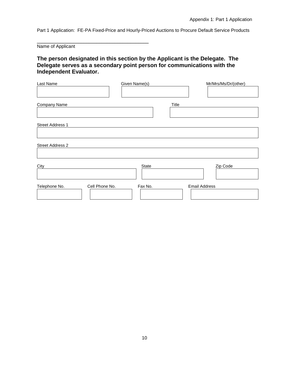Name of Applicant

\_\_\_\_\_\_\_\_\_\_\_\_\_\_\_\_\_\_\_\_\_\_\_\_\_\_\_\_\_\_\_\_\_\_\_\_\_\_\_\_\_\_\_

## **The person designated in this section by the Applicant is the Delegate. The Delegate serves as a secondary point person for communications with the Independent Evaluator.**

| Last Name                       | Given Name(s) | Mr/Mrs/Ms/Dr/(other) |
|---------------------------------|---------------|----------------------|
| Company Name                    | Title         |                      |
| Street Address 1                |               |                      |
| Street Address 2                |               |                      |
| City                            | State         | Zip Code             |
| Cell Phone No.<br>Telephone No. | Fax No.       | <b>Email Address</b> |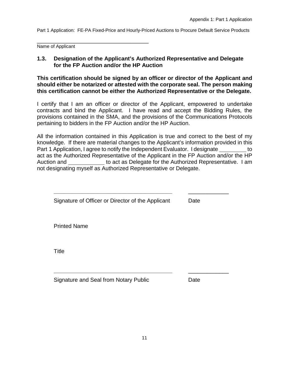\_\_\_\_\_\_\_\_\_\_\_\_\_\_\_\_\_\_\_\_\_\_\_\_\_\_\_\_\_\_\_\_\_\_\_\_\_\_\_\_\_\_\_ Name of Applicant

## **1.3. Designation of the Applicant's Authorized Representative and Delegate for the FP Auction and/or the HP Auction**

**This certification should be signed by an officer or director of the Applicant and should either be notarized or attested with the corporate seal. The person making this certification cannot be either the Authorized Representative or the Delegate.**

I certify that I am an officer or director of the Applicant, empowered to undertake contracts and bind the Applicant. I have read and accept the Bidding Rules, the provisions contained in the SMA, and the provisions of the Communications Protocols pertaining to bidders in the FP Auction and/or the HP Auction.

All the information contained in this Application is true and correct to the best of my knowledge. If there are material changes to the Applicant's information provided in this Part 1 Application, I agree to notify the Independent Evaluator. I designate to act as the Authorized Representative of the Applicant in the FP Auction and/or the HP Auction and to act as Delegate for the Authorized Representative. I am not designating myself as Authorized Representative or Delegate.

| Signature of Officer or Director of the Applicant | Date |
|---------------------------------------------------|------|
| <b>Printed Name</b>                               |      |
| Title                                             |      |
| Signature and Seal from Notary Public             | Date |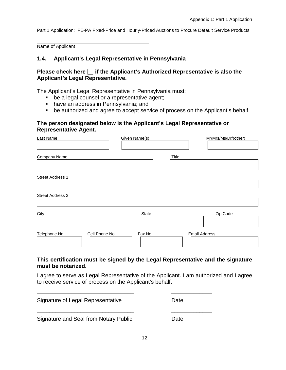Name of Applicant

#### **1.4. Applicant's Legal Representative in Pennsylvania**

#### **Please check here if the Applicant's Authorized Representative is also the Applicant's Legal Representative.**

The Applicant's Legal Representative in Pennsylvania must:

- **be a legal counsel or a representative agent;**
- **have an address in Pennsylvania; and**

\_\_\_\_\_\_\_\_\_\_\_\_\_\_\_\_\_\_\_\_\_\_\_\_\_\_\_\_\_\_\_\_\_\_\_\_\_\_\_\_\_\_\_

be authorized and agree to accept service of process on the Applicant's behalf.

#### **The person designated below is the Applicant's Legal Representative or Representative Agent.**

| Last Name               |                | Given Name(s) |       | Mr/Mrs/Ms/Dr/(other) |
|-------------------------|----------------|---------------|-------|----------------------|
|                         |                |               |       |                      |
| Company Name            |                |               | Title |                      |
|                         |                |               |       |                      |
| <b>Street Address 1</b> |                |               |       |                      |
| <b>Street Address 2</b> |                |               |       |                      |
| City                    |                | State         |       | Zip Code             |
| Telephone No.           | Cell Phone No. | Fax No.       |       | <b>Email Address</b> |

#### **This certification must be signed by the Legal Representative and the signature must be notarized.**

I agree to serve as Legal Representative of the Applicant. I am authorized and I agree to receive service of process on the Applicant's behalf.

\_\_\_\_\_\_\_\_\_\_\_\_\_\_\_\_\_\_\_\_\_\_\_\_\_\_\_\_\_\_\_ \_\_\_\_\_\_\_\_\_\_\_\_\_

\_\_\_\_\_\_\_\_\_\_\_\_\_\_\_\_\_\_\_\_\_\_\_\_\_\_\_\_\_\_\_ \_\_\_\_\_\_\_\_\_\_\_\_\_

Signature of Legal Representative **Date** 

Signature and Seal from Notary Public Date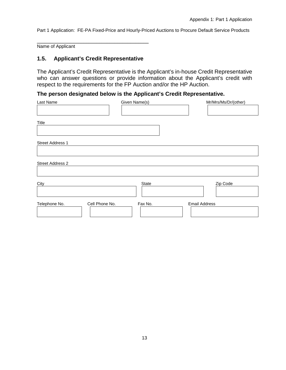\_\_\_\_\_\_\_\_\_\_\_\_\_\_\_\_\_\_\_\_\_\_\_\_\_\_\_\_\_\_\_\_\_\_\_\_\_\_\_\_\_\_\_ Name of Applicant

#### **1.5. Applicant's Credit Representative**

The Applicant's Credit Representative is the Applicant's in-house Credit Representative who can answer questions or provide information about the Applicant's credit with respect to the requirements for the FP Auction and/or the HP Auction.

## **The person designated below is the Applicant's Credit Representative.**

| Last Name                       | Given Name(s) | Mr/Mrs/Ms/Dr/(other) |
|---------------------------------|---------------|----------------------|
|                                 |               |                      |
|                                 |               |                      |
| Title                           |               |                      |
|                                 |               |                      |
|                                 |               |                      |
| Street Address 1                |               |                      |
|                                 |               |                      |
|                                 |               |                      |
| Street Address 2                |               |                      |
|                                 |               |                      |
|                                 |               |                      |
| City                            | State         | Zip Code             |
|                                 |               |                      |
|                                 |               |                      |
| Telephone No.<br>Cell Phone No. | Fax No.       | <b>Email Address</b> |
|                                 |               |                      |
|                                 |               |                      |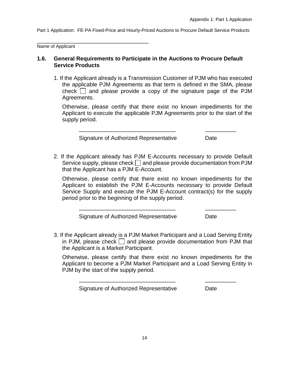Name of Applicant

\_\_\_\_\_\_\_\_\_\_\_\_\_\_\_\_\_\_\_\_\_\_\_\_\_\_\_\_\_\_\_\_\_\_\_\_\_\_\_\_\_\_\_

#### **1.6. General Requirements to Participate in the Auctions to Procure Default Service Products**

1. If the Applicant already is a Transmission Customer of PJM who has executed the applicable PJM Agreements as that term is defined in the SMA, please check  $\Box$  and please provide a copy of the signature page of the PJM Agreements.

Otherwise, please certify that there exist no known impediments for the Applicant to execute the applicable PJM Agreements prior to the start of the supply period.

\_\_\_\_\_\_\_\_\_\_\_\_\_\_\_\_\_\_\_\_\_\_\_\_\_\_\_\_\_\_\_ \_\_\_\_\_\_\_\_\_\_

Signature of Authorized Representative **Date** 

2. If the Applicant already has PJM E-Accounts necessary to provide Default Service supply, please check  $\Box$  and please provide documentation from PJM that the Applicant has a PJM E-Account.

Otherwise, please certify that there exist no known impediments for the Applicant to establish the PJM E-Accounts necessary to provide Default Service Supply and execute the PJM E-Account contract(s) for the supply period prior to the beginning of the supply period.

\_\_\_\_\_\_\_\_\_\_\_\_\_\_\_\_\_\_\_\_\_\_\_\_\_\_\_\_\_\_\_ \_\_\_\_\_\_\_\_\_\_

Signature of Authorized Representative **Date** 

3. If the Applicant already is a PJM Market Participant and a Load Serving Entity in PJM, please check  $\Box$  and please provide documentation from PJM that the Applicant is a Market Participant.

Otherwise, please certify that there exist no known impediments for the Applicant to become a PJM Market Participant and a Load Serving Entity in PJM by the start of the supply period.

\_\_\_\_\_\_\_\_\_\_\_\_\_\_\_\_\_\_\_\_\_\_\_\_\_\_\_\_\_\_\_ \_\_\_\_\_\_\_\_\_\_

Signature of Authorized Representative **Date**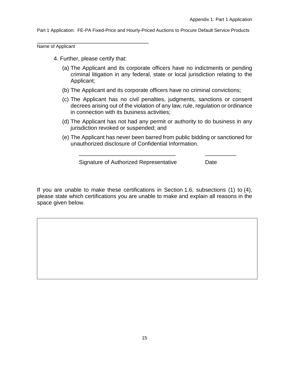\_\_\_\_\_\_\_\_\_\_\_\_\_\_\_\_\_\_\_\_\_\_\_\_\_\_\_\_\_\_\_\_\_\_\_\_\_\_\_\_\_\_\_ Name of Applicant

- 4. Further, please certify that:
	- (a) The Applicant and its corporate officers have no indictments or pending criminal litigation in any federal, state or local jurisdiction relating to the Applicant;
	- (b) The Applicant and its corporate officers have no criminal convictions;
	- (c) The Applicant has no civil penalties, judgments, sanctions or consent decrees arising out of the violation of any law, rule, regulation or ordinance in connection with its business activities;
	- (d) The Applicant has not had any permit or authority to do business in any jurisdiction revoked or suspended; and
	- (e) The Applicant has never been barred from public bidding or sanctioned for unauthorized disclosure of Confidential Information.

\_\_\_\_\_\_\_\_\_\_\_\_\_\_\_\_\_\_\_\_\_\_\_\_\_\_\_\_\_\_\_ \_\_\_\_\_\_\_\_\_\_

Signature of Authorized Representative Date

If you are unable to make these certifications in Section 1.6, subsections (1) to (4), please state which certifications you are unable to make and explain all reasons in the space given below.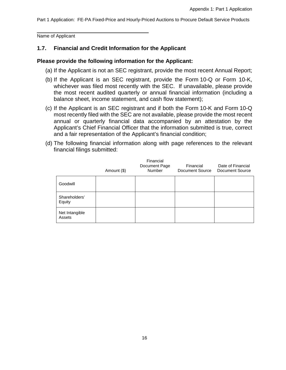\_\_\_\_\_\_\_\_\_\_\_\_\_\_\_\_\_\_\_\_\_\_\_\_\_\_\_\_\_\_\_\_\_\_\_\_\_\_\_\_\_\_\_ Name of Applicant

### **1.7. Financial and Credit Information for the Applicant**

#### **Please provide the following information for the Applicant:**

- (a) If the Applicant is not an SEC registrant, provide the most recent Annual Report;
- (b) If the Applicant is an SEC registrant, provide the Form 10-Q or Form 10-K, whichever was filed most recently with the SEC. If unavailable, please provide the most recent audited quarterly or annual financial information (including a balance sheet, income statement, and cash flow statement);
- (c) If the Applicant is an SEC registrant and if both the Form 10-K and Form 10-Q most recently filed with the SEC are not available, please provide the most recent annual or quarterly financial data accompanied by an attestation by the Applicant's Chief Financial Officer that the information submitted is true, correct and a fair representation of the Applicant's financial condition;
- (d) The following financial information along with page references to the relevant financial filings submitted:

|                          | Amount (\$) | Financial<br>Document Page<br>Number | Financial<br>Document Source | Date of Financial<br><b>Document Source</b> |
|--------------------------|-------------|--------------------------------------|------------------------------|---------------------------------------------|
| Goodwill                 |             |                                      |                              |                                             |
| Shareholders'<br>Equity  |             |                                      |                              |                                             |
| Net Intangible<br>Assets |             |                                      |                              |                                             |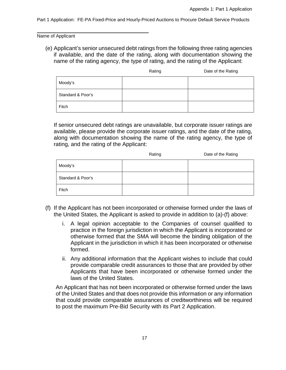\_\_\_\_\_\_\_\_\_\_\_\_\_\_\_\_\_\_\_\_\_\_\_\_\_\_\_\_\_\_\_\_\_\_\_\_\_\_\_\_\_\_\_ Name of Applicant

(e) Applicant's senior unsecured debt ratings from the following three rating agencies if available, and the date of the rating, along with documentation showing the name of the rating agency, the type of rating, and the rating of the Applicant:

|                   | Rating | Date of the Rating |
|-------------------|--------|--------------------|
| Moody's           |        |                    |
| Standard & Poor's |        |                    |
| Fitch             |        |                    |

If senior unsecured debt ratings are unavailable, but corporate issuer ratings are available, please provide the corporate issuer ratings, and the date of the rating, along with documentation showing the name of the rating agency, the type of rating, and the rating of the Applicant:

|                   | Rating | Date of the Rating |
|-------------------|--------|--------------------|
| Moody's           |        |                    |
| Standard & Poor's |        |                    |
| Fitch             |        |                    |

- (f) If the Applicant has not been incorporated or otherwise formed under the laws of the United States, the Applicant is asked to provide in addition to (a)-(f) above:
	- i. A legal opinion acceptable to the Companies of counsel qualified to practice in the foreign jurisdiction in which the Applicant is incorporated or otherwise formed that the SMA will become the binding obligation of the Applicant in the jurisdiction in which it has been incorporated or otherwise formed.
	- ii. Any additional information that the Applicant wishes to include that could provide comparable credit assurances to those that are provided by other Applicants that have been incorporated or otherwise formed under the laws of the United States.

An Applicant that has not been incorporated or otherwise formed under the laws of the United States and that does not provide this information or any information that could provide comparable assurances of creditworthiness will be required to post the maximum Pre-Bid Security with its Part 2 Application.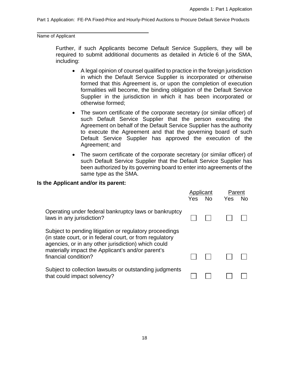\_\_\_\_\_\_\_\_\_\_\_\_\_\_\_\_\_\_\_\_\_\_\_\_\_\_\_\_\_\_\_\_\_\_\_\_\_\_\_\_\_\_\_ Name of Applicant

> Further, if such Applicants become Default Service Suppliers, they will be required to submit additional documents as detailed in Article 6 of the SMA, including:

- A legal opinion of counsel qualified to practice in the foreign jurisdiction in which the Default Service Supplier is incorporated or otherwise formed that this Agreement is, or upon the completion of execution formalities will become, the binding obligation of the Default Service Supplier in the jurisdiction in which it has been incorporated or otherwise formed;
- The sworn certificate of the corporate secretary (or similar officer) of such Default Service Supplier that the person executing the Agreement on behalf of the Default Service Supplier has the authority to execute the Agreement and that the governing board of such Default Service Supplier has approved the execution of the Agreement; and
- The sworn certificate of the corporate secretary (or similar officer) of such Default Service Supplier that the Default Service Supplier has been authorized by its governing board to enter into agreements of the same type as the SMA.

#### **Is the Applicant and/or its parent:**

|                                                                                                                                                                                                                                                         | Applicant<br>Yes | No. | Parent<br><b>Yes</b> | No. |
|---------------------------------------------------------------------------------------------------------------------------------------------------------------------------------------------------------------------------------------------------------|------------------|-----|----------------------|-----|
| Operating under federal bankruptcy laws or bankruptcy<br>laws in any jurisdiction?                                                                                                                                                                      |                  |     |                      |     |
| Subject to pending litigation or regulatory proceedings<br>(in state court, or in federal court, or from regulatory<br>agencies, or in any other jurisdiction) which could<br>materially impact the Applicant's and/or parent's<br>financial condition? |                  |     |                      |     |
| Subject to collection lawsuits or outstanding judgments<br>that could impact solvency?                                                                                                                                                                  |                  |     |                      |     |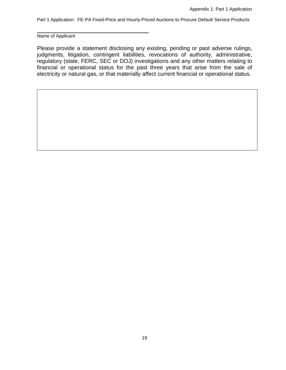\_\_\_\_\_\_\_\_\_\_\_\_\_\_\_\_\_\_\_\_\_\_\_\_\_\_\_\_\_\_\_\_\_\_\_\_\_\_\_\_\_\_\_ Name of Applicant

Please provide a statement disclosing any existing, pending or past adverse rulings, judgments, litigation, contingent liabilities, revocations of authority, administrative, regulatory (state, FERC, SEC or DOJ) investigations and any other matters relating to financial or operational status for the past three years that arise from the sale of electricity or natural gas, or that materially affect current financial or operational status.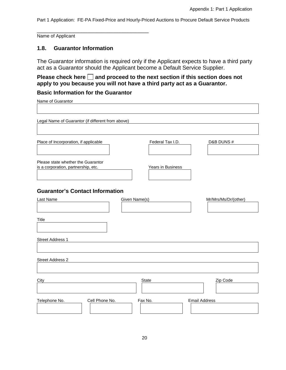\_\_\_\_\_\_\_\_\_\_\_\_\_\_\_\_\_\_\_\_\_\_\_\_\_\_\_\_\_\_\_\_\_\_\_\_\_\_\_\_\_\_\_ Name of Applicant

#### **1.8. Guarantor Information**

The Guarantor information is required only if the Applicant expects to have a third party act as a Guarantor should the Applicant become a Default Service Supplier.

## Please check here  $\square$  and proceed to the next section if this section does not **apply to you because you will not have a third party act as a Guarantor.**

## **Basic Information for the Guarantor**

| Name of Guarantor                                                         |                   |                      |
|---------------------------------------------------------------------------|-------------------|----------------------|
|                                                                           |                   |                      |
| Legal Name of Guarantor (if different from above)                         |                   |                      |
|                                                                           |                   |                      |
| Place of Incorporation, if applicable                                     | Federal Tax I.D.  | D&B DUNS#            |
| Please state whether the Guarantor<br>is a corporation, partnership, etc. | Years in Business |                      |
| <b>Guarantor's Contact Information</b>                                    |                   |                      |
| Last Name                                                                 | Given Name(s)     | Mr/Mrs/Ms/Dr/(other) |
| Title                                                                     |                   |                      |
| <b>Street Address 1</b>                                                   |                   |                      |
| <b>Street Address 2</b>                                                   |                   |                      |
| City                                                                      | <b>State</b>      | Zip Code             |

Telephone No. Cell Phone No. Fax No. Fax No. Email Address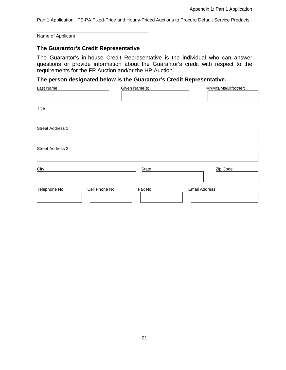\_\_\_\_\_\_\_\_\_\_\_\_\_\_\_\_\_\_\_\_\_\_\_\_\_\_\_\_\_\_\_\_\_\_\_\_\_\_\_\_\_\_\_ Name of Applicant

#### **The Guarantor's Credit Representative**

The Guarantor's in-house Credit Representative is the individual who can answer questions or provide information about the Guarantor's credit with respect to the requirements for the FP Auction and/or the HP Auction.

## **The person designated below is the Guarantor's Credit Representative.**

| Last Name                       | Given Name(s) | Mr/Mrs/Ms/Dr/(other) |
|---------------------------------|---------------|----------------------|
|                                 |               |                      |
| Title                           |               |                      |
|                                 |               |                      |
|                                 |               |                      |
| Street Address 1                |               |                      |
|                                 |               |                      |
|                                 |               |                      |
| Street Address 2                |               |                      |
|                                 |               |                      |
| City                            | State         | Zip Code             |
|                                 |               |                      |
| Telephone No.<br>Cell Phone No. | Fax No.       | <b>Email Address</b> |
|                                 |               |                      |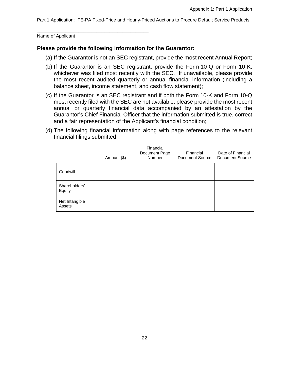\_\_\_\_\_\_\_\_\_\_\_\_\_\_\_\_\_\_\_\_\_\_\_\_\_\_\_\_\_\_\_\_\_\_\_\_\_\_\_\_\_\_\_ Name of Applicant

#### **Please provide the following information for the Guarantor:**

- (a) If the Guarantor is not an SEC registrant, provide the most recent Annual Report;
- (b) If the Guarantor is an SEC registrant, provide the Form 10-Q or Form 10-K, whichever was filed most recently with the SEC. If unavailable, please provide the most recent audited quarterly or annual financial information (including a balance sheet, income statement, and cash flow statement);
- (c) If the Guarantor is an SEC registrant and if both the Form 10-K and Form 10-Q most recently filed with the SEC are not available, please provide the most recent annual or quarterly financial data accompanied by an attestation by the Guarantor's Chief Financial Officer that the information submitted is true, correct and a fair representation of the Applicant's financial condition;
- (d) The following financial information along with page references to the relevant financial filings submitted:

|                          | Amount (\$) | Financial<br>Document Page<br>Number | Financial<br>Document Source | Date of Financial<br>Document Source |
|--------------------------|-------------|--------------------------------------|------------------------------|--------------------------------------|
| Goodwill                 |             |                                      |                              |                                      |
| Shareholders'<br>Equity  |             |                                      |                              |                                      |
| Net Intangible<br>Assets |             |                                      |                              |                                      |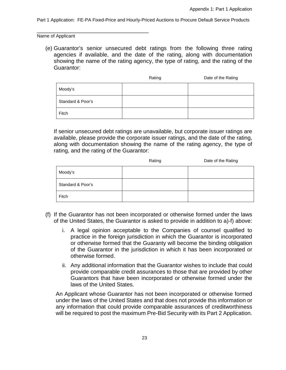\_\_\_\_\_\_\_\_\_\_\_\_\_\_\_\_\_\_\_\_\_\_\_\_\_\_\_\_\_\_\_\_\_\_\_\_\_\_\_\_\_\_\_ Name of Applicant

(e) Guarantor's senior unsecured debt ratings from the following three rating agencies if available, and the date of the rating, along with documentation showing the name of the rating agency, the type of rating, and the rating of the Guarantor:

|                   | Rating | Date of the Rating |
|-------------------|--------|--------------------|
| Moody's           |        |                    |
| Standard & Poor's |        |                    |
| Fitch             |        |                    |

If senior unsecured debt ratings are unavailable, but corporate issuer ratings are available, please provide the corporate issuer ratings, and the date of the rating, along with documentation showing the name of the rating agency, the type of rating, and the rating of the Guarantor:

|                   | Rating | Date of the Rating |
|-------------------|--------|--------------------|
| Moody's           |        |                    |
| Standard & Poor's |        |                    |
| Fitch             |        |                    |

- (f) If the Guarantor has not been incorporated or otherwise formed under the laws of the United States, the Guarantor is asked to provide in addition to a)-f) above:
	- i. A legal opinion acceptable to the Companies of counsel qualified to practice in the foreign jurisdiction in which the Guarantor is incorporated or otherwise formed that the Guaranty will become the binding obligation of the Guarantor in the jurisdiction in which it has been incorporated or otherwise formed.
	- ii. Any additional information that the Guarantor wishes to include that could provide comparable credit assurances to those that are provided by other Guarantors that have been incorporated or otherwise formed under the laws of the United States.

An Applicant whose Guarantor has not been incorporated or otherwise formed under the laws of the United States and that does not provide this information or any information that could provide comparable assurances of creditworthiness will be required to post the maximum Pre-Bid Security with its Part 2 Application.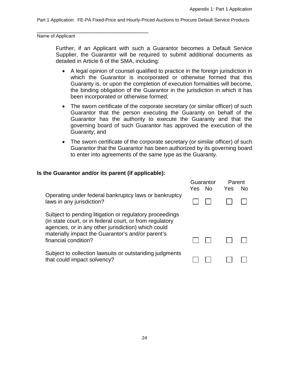\_\_\_\_\_\_\_\_\_\_\_\_\_\_\_\_\_\_\_\_\_\_\_\_\_\_\_\_\_\_\_\_\_\_\_\_\_\_\_\_\_\_\_ Name of Applicant

> Further, if an Applicant with such a Guarantor becomes a Default Service Supplier, the Guarantor will be required to submit additional documents as detailed in Article 6 of the SMA, including:

- A legal opinion of counsel qualified to practice in the foreign jurisdiction in which the Guarantor is incorporated or otherwise formed that this Guaranty is, or upon the completion of execution formalities will become, the binding obligation of the Guarantor in the jurisdiction in which it has been incorporated or otherwise formed;
- The sworn certificate of the corporate secretary (or similar officer) of such Guarantor that the person executing the Guaranty on behalf of the Guarantor has the authority to execute the Guaranty and that the governing board of such Guarantor has approved the execution of the Guaranty; and
- The sworn certificate of the corporate secretary (or similar officer) of such Guarantor that the Guarantor has been authorized by its governing board to enter into agreements of the same type as the Guaranty.

#### **Is the Guarantor and/or its parent (if applicable):**

|                                                                                                                                                                                                                                                         | Yes No | Guarantor | Parent<br>Yes | No. |
|---------------------------------------------------------------------------------------------------------------------------------------------------------------------------------------------------------------------------------------------------------|--------|-----------|---------------|-----|
| Operating under federal bankruptcy laws or bankruptcy<br>laws in any jurisdiction?                                                                                                                                                                      |        |           |               |     |
| Subject to pending litigation or regulatory proceedings<br>(in state court, or in federal court, or from regulatory<br>agencies, or in any other jurisdiction) which could<br>materially impact the Guarantor's and/or parent's<br>financial condition? |        |           |               |     |
| Subject to collection lawsuits or outstanding judgments<br>that could impact solvency?                                                                                                                                                                  |        |           |               |     |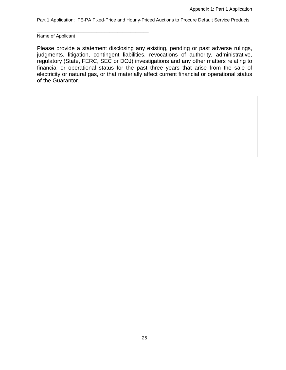\_\_\_\_\_\_\_\_\_\_\_\_\_\_\_\_\_\_\_\_\_\_\_\_\_\_\_\_\_\_\_\_\_\_\_\_\_\_\_\_\_\_\_ Name of Applicant

Please provide a statement disclosing any existing, pending or past adverse rulings, judgments, litigation, contingent liabilities, revocations of authority, administrative, regulatory (State, FERC, SEC or DOJ) investigations and any other matters relating to financial or operational status for the past three years that arise from the sale of electricity or natural gas, or that materially affect current financial or operational status of the Guarantor.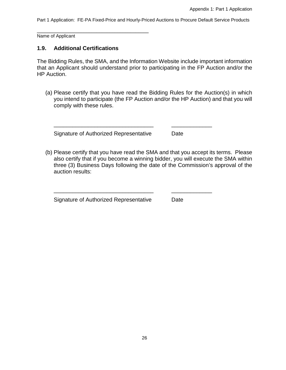\_\_\_\_\_\_\_\_\_\_\_\_\_\_\_\_\_\_\_\_\_\_\_\_\_\_\_\_\_\_\_\_\_\_\_\_\_\_\_\_\_\_\_ Name of Applicant

#### **1.9. Additional Certifications**

The Bidding Rules, the SMA, and the Information Website include important information that an Applicant should understand prior to participating in the FP Auction and/or the HP Auction.

(a) Please certify that you have read the Bidding Rules for the Auction(s) in which you intend to participate (the FP Auction and/or the HP Auction) and that you will comply with these rules.

\_\_\_\_\_\_\_\_\_\_\_\_\_\_\_\_\_\_\_\_\_\_\_\_\_\_\_\_\_\_\_\_ \_\_\_\_\_\_\_\_\_\_\_\_\_

\_\_\_\_\_\_\_\_\_\_\_\_\_\_\_\_\_\_\_\_\_\_\_\_\_\_\_\_\_\_\_\_ \_\_\_\_\_\_\_\_\_\_\_\_\_

Signature of Authorized Representative Date

(b) Please certify that you have read the SMA and that you accept its terms. Please also certify that if you become a winning bidder, you will execute the SMA within three (3) Business Days following the date of the Commission's approval of the auction results:

Signature of Authorized Representative Date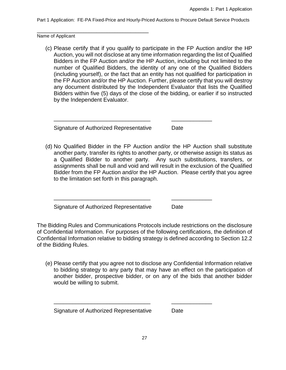\_\_\_\_\_\_\_\_\_\_\_\_\_\_\_\_\_\_\_\_\_\_\_\_\_\_\_\_\_\_\_\_\_\_\_\_\_\_\_\_\_\_\_ Name of Applicant

(c) Please certify that if you qualify to participate in the FP Auction and/or the HP Auction, you will not disclose at any time information regarding the list of Qualified Bidders in the FP Auction and/or the HP Auction, including but not limited to the number of Qualified Bidders, the identity of any one of the Qualified Bidders (including yourself), or the fact that an entity has not qualified for participation in the FP Auction and/or the HP Auction. Further, please certify that you will destroy any document distributed by the Independent Evaluator that lists the Qualified Bidders within five (5) days of the close of the bidding, or earlier if so instructed by the Independent Evaluator.

Signature of Authorized Representative Date

(d) No Qualified Bidder in the FP Auction and/or the HP Auction shall substitute another party, transfer its rights to another party, or otherwise assign its status as a Qualified Bidder to another party. Any such substitutions, transfers, or assignments shall be null and void and will result in the exclusion of the Qualified Bidder from the FP Auction and/or the HP Auction. Please certify that you agree to the limitation set forth in this paragraph.

\_\_\_\_\_\_\_\_\_\_\_\_\_\_\_\_\_\_\_\_\_\_\_\_\_\_\_\_\_\_\_ \_\_\_\_\_\_\_\_\_\_\_\_\_

\_\_\_\_\_\_\_\_\_\_\_\_\_\_\_\_\_\_\_\_\_\_\_\_\_\_\_\_\_\_\_ \_\_\_\_\_\_\_\_\_\_\_\_\_

Signature of Authorized Representative Date

The Bidding Rules and Communications Protocols include restrictions on the disclosure of Confidential Information. For purposes of the following certifications, the definition of Confidential Information relative to bidding strategy is defined according to Section 12.2 of the Bidding Rules.

(e) Please certify that you agree not to disclose any Confidential Information relative to bidding strategy to any party that may have an effect on the participation of another bidder, prospective bidder, or on any of the bids that another bidder would be willing to submit.

Signature of Authorized Representative Date

\_\_\_\_\_\_\_\_\_\_\_\_\_\_\_\_\_\_\_\_\_\_\_\_\_\_\_\_\_\_\_ \_\_\_\_\_\_\_\_\_\_\_\_\_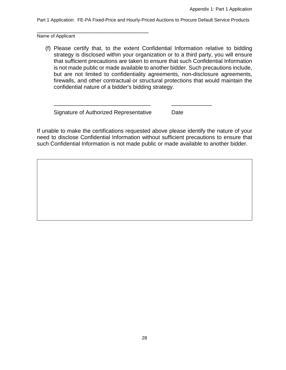\_\_\_\_\_\_\_\_\_\_\_\_\_\_\_\_\_\_\_\_\_\_\_\_\_\_\_\_\_\_\_\_\_\_\_\_\_\_\_\_\_\_\_ Name of Applicant

(f) Please certify that, to the extent Confidential Information relative to bidding strategy is disclosed within your organization or to a third party, you will ensure that sufficient precautions are taken to ensure that such Confidential Information is not made public or made available to another bidder. Such precautions include, but are not limited to confidentiality agreements, non-disclosure agreements, firewalls, and other contractual or structural protections that would maintain the confidential nature of a bidder's bidding strategy.

Signature of Authorized Representative Date

If unable to make the certifications requested above please identify the nature of your need to disclose Confidential Information without sufficient precautions to ensure that such Confidential Information is not made public or made available to another bidder.

\_\_\_\_\_\_\_\_\_\_\_\_\_\_\_\_\_\_\_\_\_\_\_\_\_\_\_\_\_\_\_ \_\_\_\_\_\_\_\_\_\_\_\_\_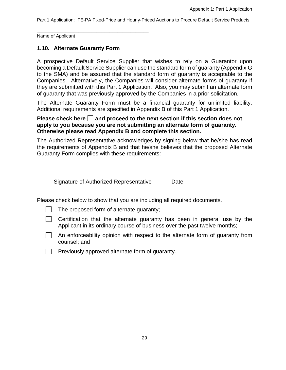\_\_\_\_\_\_\_\_\_\_\_\_\_\_\_\_\_\_\_\_\_\_\_\_\_\_\_\_\_\_\_\_\_\_\_\_\_\_\_\_\_\_\_ Name of Applicant

## **1.10. Alternate Guaranty Form**

A prospective Default Service Supplier that wishes to rely on a Guarantor upon becoming a Default Service Supplier can use the standard form of guaranty (Appendix G to the SMA) and be assured that the standard form of guaranty is acceptable to the Companies. Alternatively, the Companies will consider alternate forms of guaranty if they are submitted with this Part 1 Application. Also, you may submit an alternate form of guaranty that was previously approved by the Companies in a prior solicitation.

The Alternate Guaranty Form must be a financial guaranty for unlimited liability. Additional requirements are specified in Appendix B of this Part 1 Application.

#### **Please check here**  $\Box$  **and proceed to the next section if this section does not apply to you because you are not submitting an alternate form of guaranty. Otherwise please read Appendix B and complete this section.**

The Authorized Representative acknowledges by signing below that he/she has read the requirements of Appendix B and that he/she believes that the proposed Alternate Guaranty Form complies with these requirements:

Signature of Authorized Representative Date

Please check below to show that you are including all required documents.

\_\_\_\_\_\_\_\_\_\_\_\_\_\_\_\_\_\_\_\_\_\_\_\_\_\_\_\_\_\_\_ \_\_\_\_\_\_\_\_\_\_\_\_\_

- The proposed form of alternate guaranty;
- Certification that the alternate guaranty has been in general use by the  $\mathbf{1}$ Applicant in its ordinary course of business over the past twelve months;
- $\Box$  An enforceability opinion with respect to the alternate form of quaranty from counsel; and
- $\Box$  Previously approved alternate form of guaranty.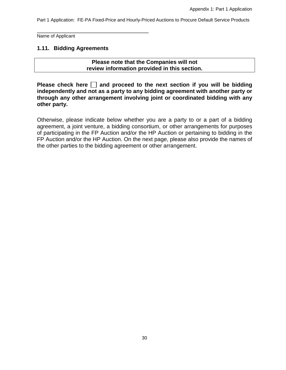\_\_\_\_\_\_\_\_\_\_\_\_\_\_\_\_\_\_\_\_\_\_\_\_\_\_\_\_\_\_\_\_\_\_\_\_\_\_\_\_\_\_\_ Name of Applicant

#### **1.11. Bidding Agreements**

**Please note that the Companies will not review information provided in this section.** 

**Please check here**  $\Box$  **and proceed to the next section if you will be bidding independently and not as a party to any bidding agreement with another party or through any other arrangement involving joint or coordinated bidding with any other party.**

Otherwise, please indicate below whether you are a party to or a part of a bidding agreement, a joint venture, a bidding consortium, or other arrangements for purposes of participating in the FP Auction and/or the HP Auction or pertaining to bidding in the FP Auction and/or the HP Auction. On the next page, please also provide the names of the other parties to the bidding agreement or other arrangement.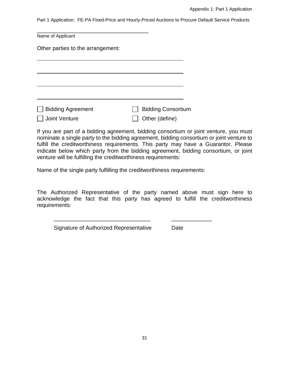| Name of Applicant                 |                           |
|-----------------------------------|---------------------------|
| Other parties to the arrangement: |                           |
|                                   |                           |
|                                   |                           |
|                                   |                           |
| <b>Bidding Agreement</b>          | <b>Bidding Consortium</b> |
| Joint Venture                     | Other (define)            |

If you are part of a bidding agreement, bidding consortium or joint venture, you must nominate a single party to the bidding agreement, bidding consortium or joint venture to fulfill the creditworthiness requirements. This party may have a Guarantor. Please indicate below which party from the bidding agreement, bidding consortium, or joint venture will be fulfilling the creditworthiness requirements:

Name of the single party fulfilling the creditworthiness requirements:

The Authorized Representative of the party named above must sign here to acknowledge the fact that this party has agreed to fulfill the creditworthiness requirements:

\_\_\_\_\_\_\_\_\_\_\_\_\_\_\_\_\_\_\_\_\_\_\_\_\_\_\_\_\_\_\_ \_\_\_\_\_\_\_\_\_\_\_\_\_

Signature of Authorized Representative Date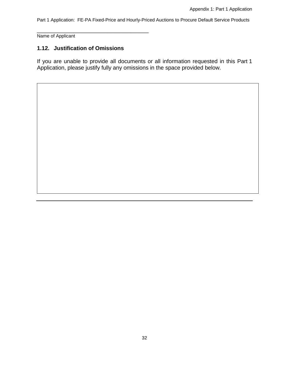\_\_\_\_\_\_\_\_\_\_\_\_\_\_\_\_\_\_\_\_\_\_\_\_\_\_\_\_\_\_\_\_\_\_\_\_\_\_\_\_\_\_\_ Name of Applicant

## **1.12. Justification of Omissions**

If you are unable to provide all documents or all information requested in this Part 1 Application, please justify fully any omissions in the space provided below.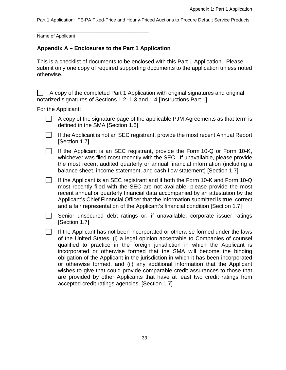\_\_\_\_\_\_\_\_\_\_\_\_\_\_\_\_\_\_\_\_\_\_\_\_\_\_\_\_\_\_\_\_\_\_\_\_\_\_\_\_\_\_\_ Name of Applicant

## **Appendix A – Enclosures to the Part 1 Application**

This is a checklist of documents to be enclosed with this Part 1 Application. Please submit only one copy of required supporting documents to the application unless noted otherwise.

A copy of the completed Part 1 Application with original signatures and original notarized signatures of Sections 1.2, 1.3 and 1.4 [Instructions Part 1]

For the Applicant:

- $\Box$  A copy of the signature page of the applicable PJM Agreements as that term is defined in the SMA [Section 1.6]
- $\mathbf{L}$ If the Applicant is not an SEC registrant, provide the most recent Annual Report [Section 1.7]
- $\mathbb{R}$ If the Applicant is an SEC registrant, provide the Form 10-Q or Form 10-K, whichever was filed most recently with the SEC. If unavailable, please provide the most recent audited quarterly or annual financial information (including a balance sheet, income statement, and cash flow statement) [Section 1.7]

 $\Box$ If the Applicant is an SEC registrant and if both the Form 10-K and Form 10-Q most recently filed with the SEC are not available, please provide the most recent annual or quarterly financial data accompanied by an attestation by the Applicant's Chief Financial Officer that the information submitted is true, correct and a fair representation of the Applicant's financial condition [Section 1.7]

Senior unsecured debt ratings or, if unavailable, corporate issuer ratings [Section 1.7]

 $\Box$  If the Applicant has not been incorporated or otherwise formed under the laws of the United States, (i) a legal opinion acceptable to Companies of counsel qualified to practice in the foreign jurisdiction in which the Applicant is incorporated or otherwise formed that the SMA will become the binding obligation of the Applicant in the jurisdiction in which it has been incorporated or otherwise formed, and (ii) any additional information that the Applicant wishes to give that could provide comparable credit assurances to those that are provided by other Applicants that have at least two credit ratings from accepted credit ratings agencies. [Section 1.7]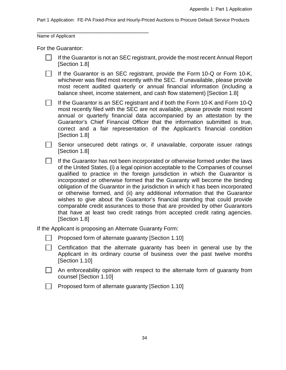\_\_\_\_\_\_\_\_\_\_\_\_\_\_\_\_\_\_\_\_\_\_\_\_\_\_\_\_\_\_\_\_\_\_\_\_\_\_\_\_\_\_\_ Name of Applicant

For the Guarantor:

| $\Box$ If the Guarantor is not an SEC registrant, provide the most recent Annual Report |
|-----------------------------------------------------------------------------------------|
| [Section 1.8]                                                                           |

 $\Box$ If the Guarantor is an SEC registrant, provide the Form 10-Q or Form 10-K, whichever was filed most recently with the SEC. If unavailable, please provide most recent audited quarterly or annual financial information (including a balance sheet, income statement, and cash flow statement) [Section 1.8]

If the Guarantor is an SEC registrant and if both the Form 10-K and Form 10-Q most recently filed with the SEC are not available, please provide most recent annual or quarterly financial data accompanied by an attestation by the Guarantor's Chief Financial Officer that the information submitted is true, correct and a fair representation of the Applicant's financial condition [Section 1.8]

 $\Box$  Senior unsecured debt ratings or, if unavailable, corporate issuer ratings [Section 1.8]

 $\Box$  If the Guarantor has not been incorporated or otherwise formed under the laws of the United States, (i) a legal opinion acceptable to the Companies of counsel qualified to practice in the foreign jurisdiction in which the Guarantor is incorporated or otherwise formed that the Guaranty will become the binding obligation of the Guarantor in the jurisdiction in which it has been incorporated or otherwise formed, and (ii) any additional information that the Guarantor wishes to give about the Guarantor's financial standing that could provide comparable credit assurances to those that are provided by other Guarantors that have at least two credit ratings from accepted credit rating agencies. [Section 1.8]

If the Applicant is proposing an Alternate Guaranty Form:

|  |  | Proposed form of alternate guaranty [Section 1.10] |  |  |  |
|--|--|----------------------------------------------------|--|--|--|
|--|--|----------------------------------------------------|--|--|--|

 $\Box$  Certification that the alternate quaranty has been in general use by the Applicant in its ordinary course of business over the past twelve months [Section 1.10]

 $\Box$  An enforceability opinion with respect to the alternate form of guaranty from counsel [Section 1.10]

**Proposed form of alternate quaranty [Section 1.10]**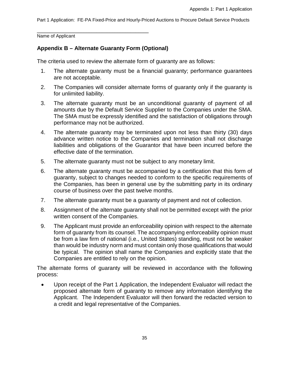\_\_\_\_\_\_\_\_\_\_\_\_\_\_\_\_\_\_\_\_\_\_\_\_\_\_\_\_\_\_\_\_\_\_\_\_\_\_\_\_\_\_\_ Name of Applicant

## **Appendix B – Alternate Guaranty Form (Optional)**

The criteria used to review the alternate form of guaranty are as follows:

- 1. The alternate guaranty must be a financial guaranty; performance guarantees are not acceptable.
- 2. The Companies will consider alternate forms of guaranty only if the guaranty is for unlimited liability.
- 3. The alternate guaranty must be an unconditional guaranty of payment of all amounts due by the Default Service Supplier to the Companies under the SMA. The SMA must be expressly identified and the satisfaction of obligations through performance may not be authorized.
- 4. The alternate guaranty may be terminated upon not less than thirty (30) days advance written notice to the Companies and termination shall not discharge liabilities and obligations of the Guarantor that have been incurred before the effective date of the termination.
- 5. The alternate guaranty must not be subject to any monetary limit.
- 6. The alternate guaranty must be accompanied by a certification that this form of guaranty, subject to changes needed to conform to the specific requirements of the Companies, has been in general use by the submitting party in its ordinary course of business over the past twelve months.
- 7. The alternate guaranty must be a guaranty of payment and not of collection.
- 8. Assignment of the alternate guaranty shall not be permitted except with the prior written consent of the Companies.
- 9. The Applicant must provide an enforceability opinion with respect to the alternate form of guaranty from its counsel. The accompanying enforceability opinion must be from a law firm of national (i.e., United States) standing, must not be weaker than would be industry norm and must contain only those qualifications that would be typical. The opinion shall name the Companies and explicitly state that the Companies are entitled to rely on the opinion.

The alternate forms of guaranty will be reviewed in accordance with the following process:

• Upon receipt of the Part 1 Application, the Independent Evaluator will redact the proposed alternate form of guaranty to remove any information identifying the Applicant. The Independent Evaluator will then forward the redacted version to a credit and legal representative of the Companies.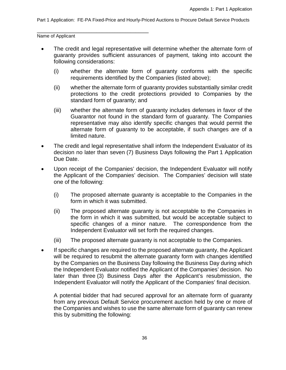\_\_\_\_\_\_\_\_\_\_\_\_\_\_\_\_\_\_\_\_\_\_\_\_\_\_\_\_\_\_\_\_\_\_\_\_\_\_\_\_\_\_\_ Name of Applicant

- The credit and legal representative will determine whether the alternate form of guaranty provides sufficient assurances of payment, taking into account the following considerations:
	- (i) whether the alternate form of guaranty conforms with the specific requirements identified by the Companies (listed above);
	- (ii) whether the alternate form of guaranty provides substantially similar credit protections to the credit protections provided to Companies by the standard form of guaranty; and
	- (iii) whether the alternate form of guaranty includes defenses in favor of the Guarantor not found in the standard form of guaranty. The Companies representative may also identify specific changes that would permit the alternate form of guaranty to be acceptable, if such changes are of a limited nature.
- The credit and legal representative shall inform the Independent Evaluator of its decision no later than seven (7) Business Days following the Part 1 Application Due Date.
- Upon receipt of the Companies' decision, the Independent Evaluator will notify the Applicant of the Companies' decision. The Companies' decision will state one of the following:
	- (i) The proposed alternate guaranty is acceptable to the Companies in the form in which it was submitted.
	- (ii) The proposed alternate guaranty is not acceptable to the Companies in the form in which it was submitted, but would be acceptable subject to specific changes of a minor nature. The correspondence from the Independent Evaluator will set forth the required changes.
	- (iii) The proposed alternate guaranty is not acceptable to the Companies.
- If specific changes are required to the proposed alternate guaranty, the Applicant will be required to resubmit the alternate guaranty form with changes identified by the Companies on the Business Day following the Business Day during which the Independent Evaluator notified the Applicant of the Companies' decision. No later than three (3) Business Days after the Applicant's resubmission, the Independent Evaluator will notify the Applicant of the Companies' final decision.

A potential bidder that had secured approval for an alternate form of guaranty from any previous Default Service procurement auction held by one or more of the Companies and wishes to use the same alternate form of guaranty can renew this by submitting the following: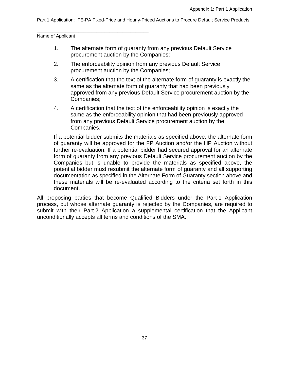\_\_\_\_\_\_\_\_\_\_\_\_\_\_\_\_\_\_\_\_\_\_\_\_\_\_\_\_\_\_\_\_\_\_\_\_\_\_\_\_\_\_\_ Name of Applicant

- 1. The alternate form of guaranty from any previous Default Service procurement auction by the Companies;
- 2. The enforceability opinion from any previous Default Service procurement auction by the Companies;
- 3. A certification that the text of the alternate form of guaranty is exactly the same as the alternate form of guaranty that had been previously approved from any previous Default Service procurement auction by the Companies;
- 4. A certification that the text of the enforceability opinion is exactly the same as the enforceability opinion that had been previously approved from any previous Default Service procurement auction by the Companies.

If a potential bidder submits the materials as specified above, the alternate form of guaranty will be approved for the FP Auction and/or the HP Auction without further re-evaluation. If a potential bidder had secured approval for an alternate form of guaranty from any previous Default Service procurement auction by the Companies but is unable to provide the materials as specified above, the potential bidder must resubmit the alternate form of guaranty and all supporting documentation as specified in the Alternate Form of Guaranty section above and these materials will be re-evaluated according to the criteria set forth in this document.

All proposing parties that become Qualified Bidders under the Part 1 Application process, but whose alternate guaranty is rejected by the Companies, are required to submit with their Part 2 Application a supplemental certification that the Applicant unconditionally accepts all terms and conditions of the SMA.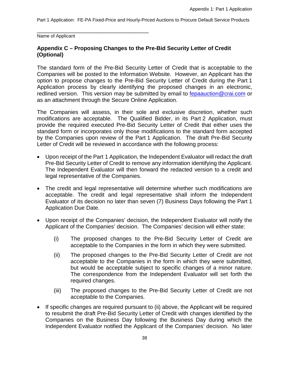\_\_\_\_\_\_\_\_\_\_\_\_\_\_\_\_\_\_\_\_\_\_\_\_\_\_\_\_\_\_\_\_\_\_\_\_\_\_\_\_\_\_\_ Name of Applicant

## **Appendix C – Proposing Changes to the Pre-Bid Security Letter of Credit (Optional)**

The standard form of the Pre-Bid Security Letter of Credit that is acceptable to the Companies will be posted to the Information Website. However, an Applicant has the option to propose changes to the Pre-Bid Security Letter of Credit during the Part 1 Application process by clearly identifying the proposed changes in an electronic, redlined version. This version may be submitted by email to [fepaauction@crai.com](mailto:fepaauction@crai.com) or as an attachment through the Secure Online Application.

The Companies will assess, in their sole and exclusive discretion, whether such modifications are acceptable. The Qualified Bidder, in its Part 2 Application, must provide the required executed Pre-Bid Security Letter of Credit that either uses the standard form or incorporates only those modifications to the standard form accepted by the Companies upon review of the Part 1 Application. The draft Pre-Bid Security Letter of Credit will be reviewed in accordance with the following process:

- Upon receipt of the Part 1 Application, the Independent Evaluator will redact the draft Pre-Bid Security Letter of Credit to remove any information identifying the Applicant. The Independent Evaluator will then forward the redacted version to a credit and legal representative of the Companies.
- The credit and legal representative will determine whether such modifications are acceptable. The credit and legal representative shall inform the Independent Evaluator of its decision no later than seven (7) Business Days following the Part 1 Application Due Date.
- Upon receipt of the Companies' decision, the Independent Evaluator will notify the Applicant of the Companies' decision. The Companies' decision will either state:
	- (i) The proposed changes to the Pre-Bid Security Letter of Credit are acceptable to the Companies in the form in which they were submitted.
	- (ii) The proposed changes to the Pre-Bid Security Letter of Credit are not acceptable to the Companies in the form in which they were submitted, but would be acceptable subject to specific changes of a minor nature. The correspondence from the Independent Evaluator will set forth the required changes.
	- (iii) The proposed changes to the Pre-Bid Security Letter of Credit are not acceptable to the Companies.
- If specific changes are required pursuant to (ii) above, the Applicant will be required to resubmit the draft Pre-Bid Security Letter of Credit with changes identified by the Companies on the Business Day following the Business Day during which the Independent Evaluator notified the Applicant of the Companies' decision. No later